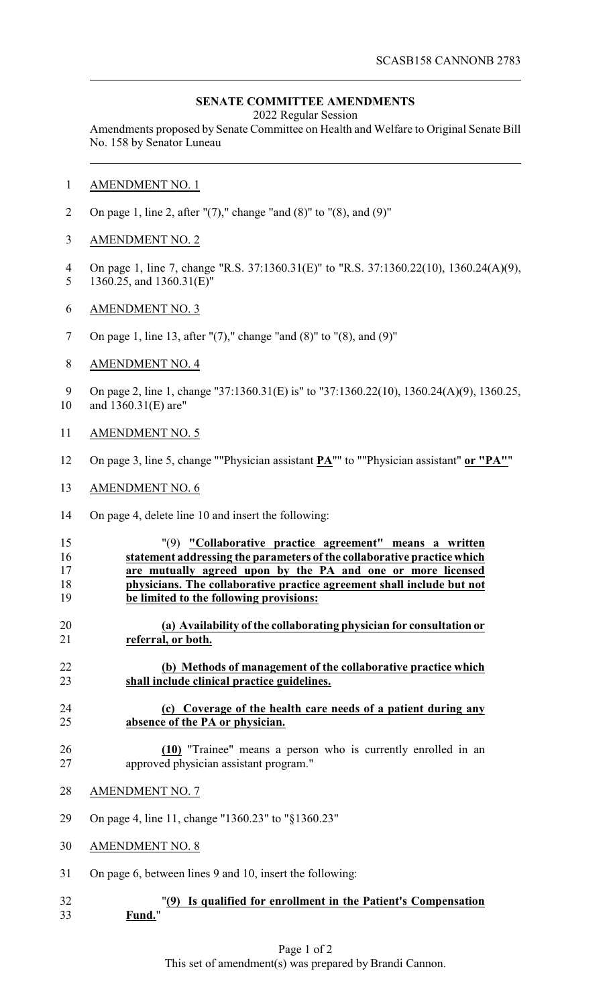## **SENATE COMMITTEE AMENDMENTS**

2022 Regular Session

Amendments proposed by Senate Committee on Health and Welfare to Original Senate Bill No. 158 by Senator Luneau

- AMENDMENT NO. 1
- 2 On page 1, line 2, after " $(7)$ ," change "and  $(8)$ " to " $(8)$ , and  $(9)$ "
- AMENDMENT NO. 2
- On page 1, line 7, change "R.S. 37:1360.31(E)" to "R.S. 37:1360.22(10), 1360.24(A)(9), 1360.25, and 1360.31(E)"
- AMENDMENT NO. 3
- On page 1, line 13, after "(7)," change "and (8)" to "(8), and (9)"
- AMENDMENT NO. 4

9 On page 2, line 1, change "37:1360.31(E) is" to "37:1360.22(10), 1360.24(A)(9), 1360.25,

- and 1360.31(E) are"
- AMENDMENT NO. 5
- On page 3, line 5, change ""Physician assistant **PA**"" to ""Physician assistant" **or "PA"**"
- AMENDMENT NO. 6
- On page 4, delete line 10 and insert the following:
- "(9) **"Collaborative practice agreement" means a written statement addressing the parameters of the collaborative practice which are mutually agreed upon by the PA and one or more licensed physicians. The collaborative practice agreement shall include but not be limited to the following provisions:**
- **(a) Availability of the collaborating physician for consultation or referral, or both.**
- **(b) Methods of management of the collaborative practice which shall include clinical practice guidelines.**
- **(c) Coverage of the health care needs of a patient during any absence of the PA or physician.**
- **(10)** "Trainee" means a person who is currently enrolled in an approved physician assistant program."
- AMENDMENT NO. 7
- On page 4, line 11, change "1360.23" to "§1360.23"
- AMENDMENT NO. 8
- On page 6, between lines 9 and 10, insert the following:
- "**(9) Is qualified for enrollment in the Patient's Compensation Fund.**"